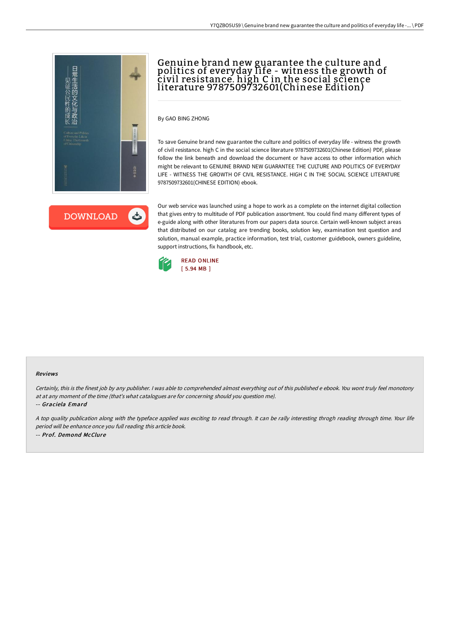

# Genuine brand new guarantee the culture and politics of everyday life - witness the growth of civil resistance. high C in the social science literature 9787509732601(Chinese Edition)

By GAO BING ZHONG

To save Genuine brand new guarantee the culture and politics of everyday life - witness the growth of civil resistance. high C in the social science literature 9787509732601(Chinese Edition) PDF, please follow the link beneath and download the document or have access to other information which might be relevant to GENUINE BRAND NEW GUARANTEE THE CULTURE AND POLITICS OF EVERYDAY LIFE - WITNESS THE GROWTH OF CIVIL RESISTANCE. HIGH C IN THE SOCIAL SCIENCE LITERATURE 9787509732601(CHINESE EDITION) ebook.

**DOWNLOAD** 

Our web service was launched using a hope to work as a complete on the internet digital collection that gives entry to multitude of PDF publication assortment. You could find many different types of e-guide along with other literatures from our papers data source. Certain well-known subject areas that distributed on our catalog are trending books, solution key, examination test question and solution, manual example, practice information, test trial, customer guidebook, owners guideline, support instructions, fix handbook, etc.



#### Reviews

Certainly, this is the finest job by any publisher. <sup>I</sup> was able to comprehended almost everything out of this published <sup>e</sup> ebook. You wont truly feel monotony at at any moment of the time (that's what catalogues are for concerning should you question me).

-- Graciela Emard

<sup>A</sup> top quality publication along with the typeface applied was exciting to read through. It can be rally interesting throgh reading through time. Your life period will be enhance once you full reading this article book. -- Prof. Demond McClure